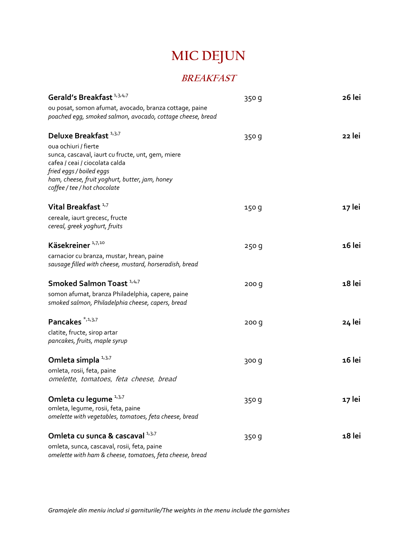## **MIC DEJUN**

### **BREAKFAST**

| Gerald's Breakfast <sup>1,3,4,7</sup>                                                                                                            | 350 g | 26 lei |
|--------------------------------------------------------------------------------------------------------------------------------------------------|-------|--------|
| ou posat, somon afumat, avocado, branza cottage, paine<br>poached egg, smoked salmon, avocado, cottage cheese, bread                             |       |        |
| Deluxe Breakfast <sup>1,3,7</sup><br>oua ochiuri / fierte<br>sunca, cascaval, iaurt cu fructe, unt, gem, miere<br>cafea / ceai / ciocolata calda | 350 g | 22 lei |
| fried eggs / boiled eggs<br>ham, cheese, fruit yoghurt, butter, jam, honey<br>coffee / tee / hot chocolate                                       |       |        |
| Vital Breakfast <sup>1,7</sup><br>cereale, iaurt grecesc, fructe<br>cereal, greek yoghurt, fruits                                                | 150 g | 17 lei |
| Käsekreiner <sup>1,7,10</sup><br>carnacior cu branza, mustar, hrean, paine<br>sausage filled with cheese, mustard, horseradish, bread            | 250g  | 16 lei |
| Smoked Salmon Toast <sup>1,4,7</sup><br>somon afumat, branza Philadelphia, capere, paine<br>smoked salmon, Philadelphia cheese, capers, bread    | 200 q | 18 lei |
| Pancakes <sup>*,1,3,7</sup><br>clatite, fructe, sirop artar<br>pancakes, fruits, maple syrup                                                     | 200 q | 24 lei |
| Omleta simpla 1,3,7<br>omleta, rosii, feta, paine<br>omelette, tomatoes, feta cheese, bread                                                      | 300 g | 16 lei |
| Omleta cu legume 1,3,7<br>omleta, legume, rosii, feta, paine<br>omelette with vegetables, tomatoes, feta cheese, bread                           | 350 g | 17 lei |
| Omleta cu sunca & cascaval 1,3,7<br>omleta, sunca, cascaval, rosii, feta, paine<br>omelette with ham & cheese, tomatoes, feta cheese, bread      | 350 g | 18 lei |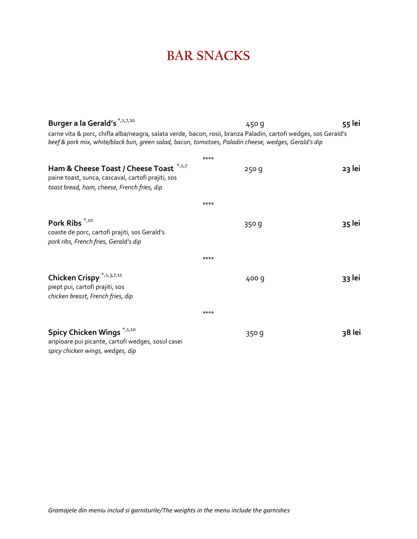## **BAR SNACKS**

| Burger a la Gerald's *,1,7,10                                                                                                                                                                                           | 450 g | 55 lei |
|-------------------------------------------------------------------------------------------------------------------------------------------------------------------------------------------------------------------------|-------|--------|
| carne vita & porc, chifla alba/neagra, salata verde, bacon, rosii, branza Paladin, cartofi wedges, sos Gerald's<br>beef & pork mix, white/black bun, green salad, bacon, tomatoes, Paladin cheese, wedges, Gerald's dip |       |        |
|                                                                                                                                                                                                                         | ****  |        |
| Ham & Cheese Toast / Cheese Toast *,1,7<br>paine toast, sunca, cascaval, cartofi prajiti, sos<br>toast bread, ham, cheese, French fries, dip                                                                            | 250q  | 23 lei |
|                                                                                                                                                                                                                         | ****  |        |
| Pork Ribs <sup>*,10</sup><br>coaste de porc, cartofi prajiti, sos Gerald's<br>pork ribs, French fries, Gerald's dip                                                                                                     | 350 g | 35 lei |
|                                                                                                                                                                                                                         | ****  |        |
| Chicken Crispy *,1,3,7,11<br>piept pui, cartofi prajiti, sos<br>chicken breast, French fries, dip                                                                                                                       | 400 g | 33 lei |
|                                                                                                                                                                                                                         | ****  |        |
| Spicy Chicken Wings <sup>*,1,10</sup><br>aripioare pui picante, cartofi wedges, sosul casei<br>spicy chicken wings, wedges, dip                                                                                         | 350 g | 38 lei |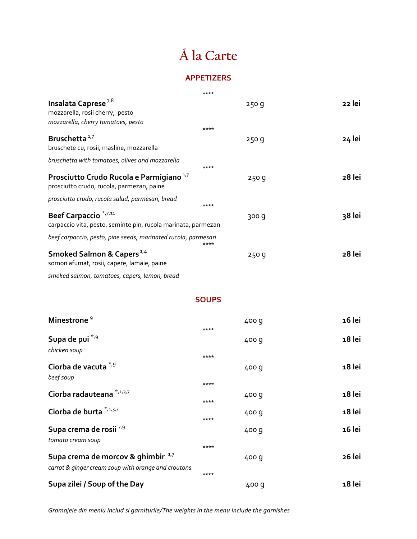# **Á la Carte**

#### **APPETIZERS**

|                                                                                                              | **** |       |        |
|--------------------------------------------------------------------------------------------------------------|------|-------|--------|
| Insalata Caprese <sup>7,8</sup><br>mozzarella, rosii cherry, pesto                                           |      | 250 g | 22 lei |
| mozzarella, cherry tomatoes, pesto                                                                           | **** |       |        |
| Bruschetta <sup>1,7</sup><br>bruschete cu, rosii, masline, mozzarella                                        |      | 250q  | 24 lei |
| bruschetta with tomatoes, olives and mozzarella                                                              | **** |       |        |
| Prosciutto Crudo Rucola e Parmigiano <sup>1,7</sup><br>prosciutto crudo, rucola, parmezan, paine             |      | 250q  | 28 lei |
| prosciutto crudo, rucola salad, parmesan, bread                                                              | **** |       |        |
| Beef Carpaccio <sup>*</sup> <sup>7,11</sup><br>carpaccio vita, pesto, seminte pin, rucola marinata, parmezan |      | 300 g | 38 lei |
| beef carpaccio, pesto, pine seeds, marinated rucola, parmesan                                                | **** |       |        |
| Smoked Salmon & Capers <sup>1,4</sup><br>somon afumat, rosii, capere, lamaie, paine                          |      | 250 g | 28 lei |
| smoked salmon, tomatoes, capers, lemon, bread                                                                |      |       |        |

#### **SOUPS**

| Minestrone <sup>9</sup>                                                                              | ****         | 400 g | 16 lei |
|------------------------------------------------------------------------------------------------------|--------------|-------|--------|
| Supa de pui *,9<br>chicken soup                                                                      |              | 400 g | 18 lei |
| Ciorba de vacuta *,9<br>beef soup                                                                    | ****         | 400 g | 18 lei |
| Ciorba radauteana *,1,3,7                                                                            | ****<br>**** | 400 g | 18 lei |
| Ciorba de burta *,1,3,7                                                                              | ****         | 400 g | 18 lei |
| Supa crema de rosii 7,9<br>tomato cream soup                                                         |              | 400 g | 16 lei |
| Supa crema de morcov & ghimbir <sup>1,7</sup><br>carrot & ginger cream soup with orange and croutons | ****<br>**** | 400 g | 26 lei |
| Supa zilei / Soup of the Day                                                                         |              | 400 q | 18 lei |

*Gramajele din meniu includ si garniturile/The weights in the menu include the garnishes*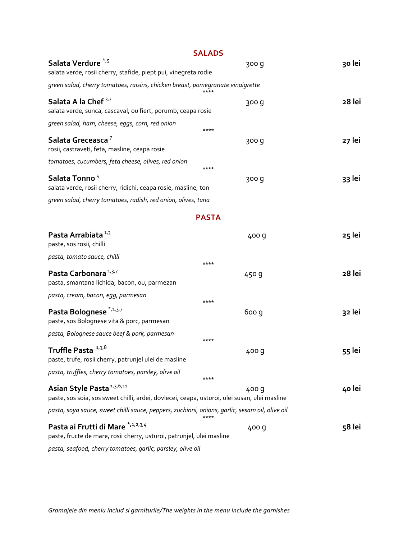|                                                                                                                                       | <b>SALADS</b> |        |
|---------------------------------------------------------------------------------------------------------------------------------------|---------------|--------|
| Salata Verdure <sup>*,5</sup><br>salata verde, rosii cherry, stafide, piept pui, vinegreta rodie                                      | 300 g         | 30 lei |
| green salad, cherry tomatoes, raisins, chicken breast, pomegranate vinaigrette                                                        |               |        |
| Salata A la Chef <sup>3,7</sup><br>salata verde, sunca, cascaval, ou fiert, porumb, ceapa rosie                                       | 300 g         | 28 lei |
| green salad, ham, cheese, eggs, corn, red onion                                                                                       | ****          |        |
| Salata Greceasca <sup>7</sup><br>rosii, castraveti, feta, masline, ceapa rosie                                                        | 300 g         | 27 lei |
| tomatoes, cucumbers, feta cheese, olives, red onion                                                                                   | ****          |        |
| Salata Tonno <sup>4</sup><br>salata verde, rosii cherry, ridichi, ceapa rosie, masline, ton                                           | 300 g         | 33 lei |
| green salad, cherry tomatoes, radish, red onion, olives, tuna                                                                         |               |        |
|                                                                                                                                       | <b>PASTA</b>  |        |
| Pasta Arrabiata <sup>1,3</sup><br>paste, sos rosii, chilli                                                                            | 400 g         | 25 lei |
| pasta, tomato sauce, chilli                                                                                                           | ****          |        |
| Pasta Carbonara <sup>1,3,7</sup><br>pasta, smantana lichida, bacon, ou, parmezan                                                      | 450 g         | 28 lei |
| pasta, cream, bacon, egg, parmesan                                                                                                    | ****          |        |
| Pasta Bolognese <sup>*,1,3,7</sup><br>paste, sos Bolognese vita & porc, parmesan                                                      | 6oo q         | 32 lei |
| pasta, Bolognese sauce beef & pork, parmesan                                                                                          | ****          |        |
| Truffle Pasta <sup>1,3,8</sup><br>paste, trufe, rosii cherry, patrunjel ulei de masline                                               | 400 g         | 55 lei |
| pasta, truffles, cherry tomatoes, parsley, olive oil                                                                                  | ****          |        |
| Asian Style Pasta <sup>1,3,6,11</sup><br>paste, sos soia, sos sweet chilli, ardei, dovlecei, ceapa, usturoi, ulei susan, ulei masline | 400 g         | 40 lei |
| pasta, soya sauce, sweet chilli sauce, peppers, zuchinni, onions, garlic, sesam oil, olive oil                                        | ****          |        |
| Pasta ai Frutti di Mare *,1,2,3,4<br>paste, fructe de mare, rosii cherry, usturoi, patrunjel, ulei masline                            | 400 g         | 58 lei |
| pasta, seafood, cherry tomatoes, garlic, parsley, olive oil                                                                           |               |        |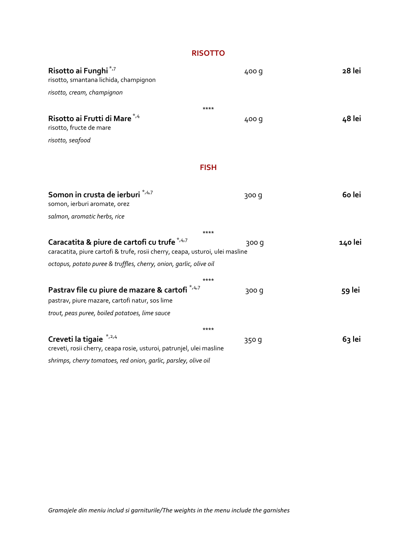**RISOTTO**

| Risotto ai Funghi <sup>*,7</sup><br>risotto, smantana lichida, champignon                                                                                          | 400 g         | 28 lei  |
|--------------------------------------------------------------------------------------------------------------------------------------------------------------------|---------------|---------|
| risotto, cream, champignon                                                                                                                                         |               |         |
| Risotto ai Frutti di Mare <sup>*,4</sup><br>risotto, fructe de mare<br>risotto, seafood                                                                            | ****<br>400 g | 48 lei  |
|                                                                                                                                                                    |               |         |
|                                                                                                                                                                    | <b>FISH</b>   |         |
| Somon in crusta de ierburi */4/7<br>somon, ierburi aromate, orez                                                                                                   | 300 g         | 60 lei  |
| salmon, aromatic herbs, rice                                                                                                                                       |               |         |
|                                                                                                                                                                    | ****          |         |
| Caracatita & piure de cartofi cu trufe <sup>*,4,7</sup><br>caracatita, piure cartofi & trufe, rosii cherry, ceapa, usturoi, ulei masline                           | 300 q         | 140 lei |
| octopus, potato puree & truffles, cherry, onion, garlic, olive oil                                                                                                 |               |         |
| Pastrav file cu piure de mazare & cartofi *,4,7<br>pastrav, piure mazare, cartofi natur, sos lime                                                                  | ****<br>300 g | 59 lei  |
| trout, peas puree, boiled potatoes, lime sauce                                                                                                                     |               |         |
| Creveti la tigaie *,2,4<br>creveti, rosii cherry, ceapa rosie, usturoi, patrunjel, ulei masline<br>shrimps, cherry tomatoes, red onion, garlic, parsley, olive oil | ****<br>350 g | 63 lei  |
|                                                                                                                                                                    |               |         |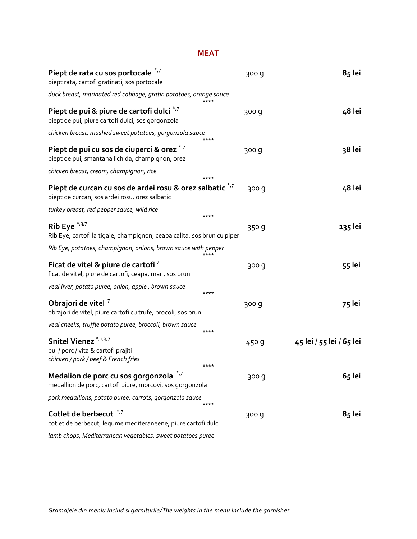#### **MEAT**

| Piept de rata cu sos portocale<br>piept rata, cartofi gratinati, sos portocale                                          | 300 g | 85 lei                   |
|-------------------------------------------------------------------------------------------------------------------------|-------|--------------------------|
| duck breast, marinated red cabbage, gratin potatoes, orange sauce<br>****                                               |       |                          |
| Piept de pui & piure de cartofi dulci *,7<br>piept de pui, piure cartofi dulci, sos gorgonzola                          | 300 g | 48 lei                   |
| chicken breast, mashed sweet potatoes, gorgonzola sauce<br>****                                                         |       |                          |
| Piept de pui cu sos de ciuperci & orez */7<br>piept de pui, smantana lichida, champignon, orez                          | 300 g | 38 lei                   |
| chicken breast, cream, champignon, rice<br>****                                                                         |       |                          |
| Piept de curcan cu sos de ardei rosu & orez salbatic *.7<br>piept de curcan, sos ardei rosu, orez salbatic              | 300 g | 48 lei                   |
| turkey breast, red pepper sauce, wild rice<br>****                                                                      |       |                          |
| Rib Eye $*37$<br>Rib Eye, cartofi la tigaie, champignon, ceapa calita, sos brun cu piper                                | 350 g | 135 lei                  |
| Rib Eye, potatoes, champignon, onions, brown sauce with pepper<br>****                                                  |       |                          |
| Ficat de vitel & piure de cartofi <sup>7</sup><br>ficat de vitel, piure de cartofi, ceapa, mar, sos brun                | 300 g | 55 lei                   |
| veal liver, potato puree, onion, apple, brown sauce<br>****                                                             |       |                          |
| Obrajori de vitel 7<br>obrajori de vitel, piure cartofi cu trufe, brocoli, sos brun                                     | 300 g | 75 lei                   |
| veal cheeks, truffle potato puree, broccoli, brown sauce<br>****                                                        |       |                          |
| Snitel Vienez <sup>*,1,3,7</sup><br>pui / porc / vita & cartofi prajiti<br>chicken / pork / beef & French fries<br>**** | 450 g | 45 lei / 55 lei / 65 lei |
| $*_{77}$<br>Medalion de porc cu sos gorgonzola<br>medallion de porc, cartofi piure, morcovi, sos gorgonzola             | 300 g | 65 lei                   |
| pork medallions, potato puree, carrots, gorgonzola sauce<br>****                                                        |       |                          |
| Cotlet de berbecut * <sup>7</sup><br>cotlet de berbecut, legume mediteraneene, piure cartofi dulci                      | 300 g | 85 lei                   |
| lamb chops, Mediterranean vegetables, sweet potatoes puree                                                              |       |                          |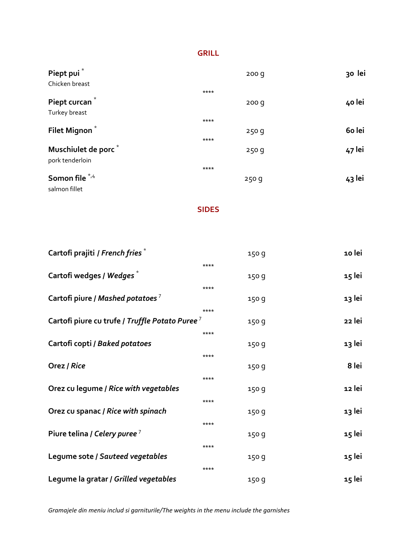#### **GRILL**

| Piept pui <sup>*</sup><br>Chicken breast | 200q   | 30 lei |
|------------------------------------------|--------|--------|
|                                          | $****$ |        |
| Piept curcan <sup>*</sup>                | 200q   | 40 lei |
| Turkey breast                            |        |        |
|                                          | $****$ |        |
| Filet Mignon <sup>*</sup>                | 250g   | 60 lei |
|                                          | ****   |        |
| Muschiulet de porc <sup>*</sup>          | 250q   | 47 lei |
| pork tenderloin                          |        |        |
|                                          | ****   |        |
| Somon file */4                           | 250g   | 43 lei |
| salmon fillet                            |        |        |

**SIDES**

| Cartofi prajiti / French fries <sup>*</sup>                | 150 g | 10 lei |
|------------------------------------------------------------|-------|--------|
|                                                            | ****  |        |
| Cartofi wedges / Wedges <sup>*</sup>                       | 150g  | 15 lei |
|                                                            | ****  |        |
| Cartofi piure / Mashed potatoes <sup>7</sup>               | 150g  | 13 lei |
|                                                            | ****  |        |
| Cartofi piure cu trufe / Truffle Potato Puree <sup>7</sup> | 150 g | 22 lei |
|                                                            | ****  |        |
| Cartofi copti / Baked potatoes                             | 150g  | 13 lei |
|                                                            | ****  |        |
| Orez / Rice                                                | 150 g | 8 lei  |
|                                                            | ****  |        |
| Orez cu legume / Rice with vegetables                      | 150g  | 12 lei |
|                                                            | ****  |        |
| Orez cu spanac / Rice with spinach                         | 150 g | 13 lei |
|                                                            | ****  |        |
| Piure telina / Celery puree <sup>7</sup>                   | 150 g | 15 lei |
|                                                            | ****  |        |
| Legume sote / Sauteed vegetables                           | 150g  | 15 lei |
|                                                            | ****  |        |
| Legume la gratar / Grilled vegetables                      | 150 g | 15 lei |

*Gramajele din meniu includ si garniturile/The weights in the menu include the garnishes*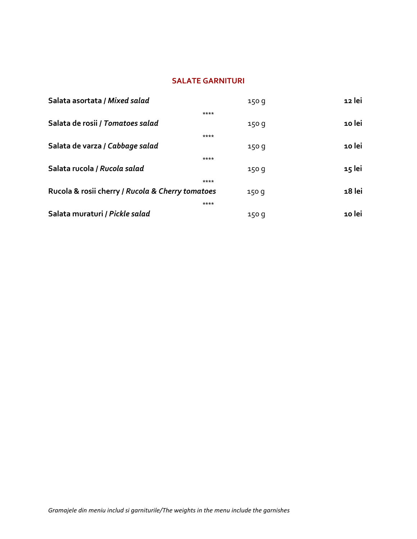### **SALATE GARNITURI**

| Salata asortata / Mixed salad                    | 150q  | 12 lei |
|--------------------------------------------------|-------|--------|
| ****                                             |       |        |
| Salata de rosii / Tomatoes salad                 | 150q  | 10 lei |
| ****                                             |       |        |
| Salata de varza / Cabbage salad                  | 150q  | 10 lei |
| ****                                             |       |        |
| Salata rucola / Rucola salad                     | 150 g | 15 lei |
| ****                                             |       |        |
| Rucola & rosii cherry / Rucola & Cherry tomatoes | 150 q | 18 lei |
| ****                                             |       |        |
| Salata muraturi / Pickle salad                   | 150 g | 10 lei |